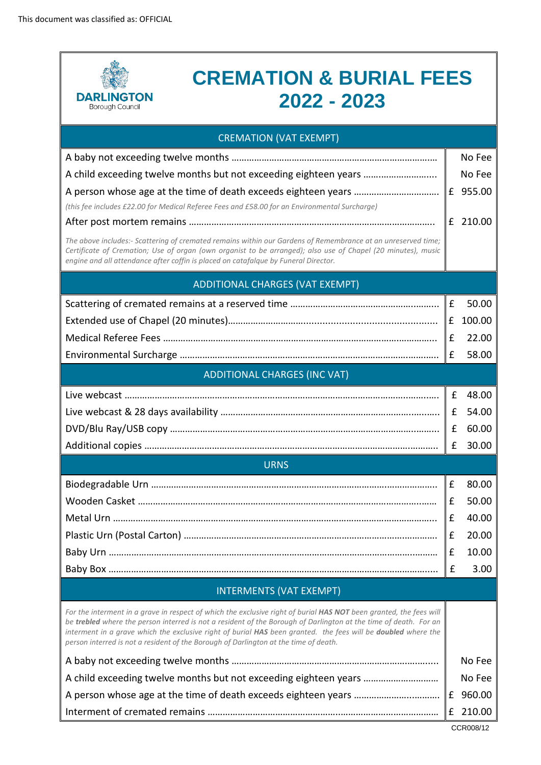

## **CREMATION & BURIAL FEES 2022 - 2023**

| <b>CREMATION (VAT EXEMPT)</b>                                                                                                                                                                                                                                                                                                                                                                                                                   |   |          |  |  |
|-------------------------------------------------------------------------------------------------------------------------------------------------------------------------------------------------------------------------------------------------------------------------------------------------------------------------------------------------------------------------------------------------------------------------------------------------|---|----------|--|--|
|                                                                                                                                                                                                                                                                                                                                                                                                                                                 |   | No Fee   |  |  |
| A child exceeding twelve months but not exceeding eighteen years                                                                                                                                                                                                                                                                                                                                                                                |   | No Fee   |  |  |
|                                                                                                                                                                                                                                                                                                                                                                                                                                                 |   | £ 955.00 |  |  |
| (this fee includes £22.00 for Medical Referee Fees and £58.00 for an Environmental Surcharge)                                                                                                                                                                                                                                                                                                                                                   |   |          |  |  |
|                                                                                                                                                                                                                                                                                                                                                                                                                                                 |   | £ 210.00 |  |  |
| The above includes:- Scattering of cremated remains within our Gardens of Remembrance at an unreserved time;<br>Certificate of Cremation; Use of organ (own organist to be arranged); also use of Chapel (20 minutes), music<br>engine and all attendance after coffin is placed on catafalque by Funeral Director.                                                                                                                             |   |          |  |  |
| <b>ADDITIONAL CHARGES (VAT EXEMPT)</b>                                                                                                                                                                                                                                                                                                                                                                                                          |   |          |  |  |
|                                                                                                                                                                                                                                                                                                                                                                                                                                                 | £ | 50.00    |  |  |
|                                                                                                                                                                                                                                                                                                                                                                                                                                                 | £ | 100.00   |  |  |
|                                                                                                                                                                                                                                                                                                                                                                                                                                                 | £ | 22.00    |  |  |
|                                                                                                                                                                                                                                                                                                                                                                                                                                                 | £ | 58.00    |  |  |
| <b>ADDITIONAL CHARGES (INC VAT)</b>                                                                                                                                                                                                                                                                                                                                                                                                             |   |          |  |  |
|                                                                                                                                                                                                                                                                                                                                                                                                                                                 | £ | 48.00    |  |  |
|                                                                                                                                                                                                                                                                                                                                                                                                                                                 | £ | 54.00    |  |  |
|                                                                                                                                                                                                                                                                                                                                                                                                                                                 | £ | 60.00    |  |  |
|                                                                                                                                                                                                                                                                                                                                                                                                                                                 | £ | 30.00    |  |  |
| <b>URNS</b>                                                                                                                                                                                                                                                                                                                                                                                                                                     |   |          |  |  |
|                                                                                                                                                                                                                                                                                                                                                                                                                                                 | £ | 80.00    |  |  |
|                                                                                                                                                                                                                                                                                                                                                                                                                                                 | £ | 50.00    |  |  |
|                                                                                                                                                                                                                                                                                                                                                                                                                                                 | £ | 40.00    |  |  |
|                                                                                                                                                                                                                                                                                                                                                                                                                                                 | £ | 20.00    |  |  |
|                                                                                                                                                                                                                                                                                                                                                                                                                                                 | £ | 10.00    |  |  |
|                                                                                                                                                                                                                                                                                                                                                                                                                                                 | £ | 3.00     |  |  |
| <b>INTERMENTS (VAT EXEMPT)</b>                                                                                                                                                                                                                                                                                                                                                                                                                  |   |          |  |  |
| For the interment in a grave in respect of which the exclusive right of burial HAS NOT been granted, the fees will<br>be trebled where the person interred is not a resident of the Borough of Darlington at the time of death. For an<br>interment in a grave which the exclusive right of burial HAS been granted. the fees will be doubled where the<br>person interred is not a resident of the Borough of Darlington at the time of death. |   |          |  |  |
|                                                                                                                                                                                                                                                                                                                                                                                                                                                 |   | No Fee   |  |  |
| A child exceeding twelve months but not exceeding eighteen years                                                                                                                                                                                                                                                                                                                                                                                |   | No Fee   |  |  |
|                                                                                                                                                                                                                                                                                                                                                                                                                                                 | £ | 960.00   |  |  |
|                                                                                                                                                                                                                                                                                                                                                                                                                                                 | £ | 210.00   |  |  |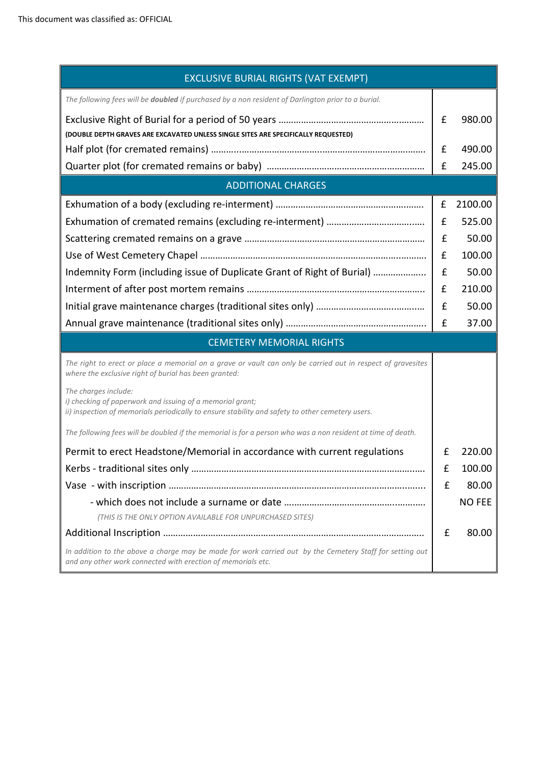| <b>EXCLUSIVE BURIAL RIGHTS (VAT EXEMPT)</b>                                                                                                                                           |   |               |  |  |
|---------------------------------------------------------------------------------------------------------------------------------------------------------------------------------------|---|---------------|--|--|
| The following fees will be doubled if purchased by a non resident of Darlington prior to a burial.                                                                                    |   |               |  |  |
| (DOUBLE DEPTH GRAVES ARE EXCAVATED UNLESS SINGLE SITES ARE SPECIFICALLY REQUESTED)                                                                                                    |   | 980.00        |  |  |
|                                                                                                                                                                                       | £ | 490.00        |  |  |
|                                                                                                                                                                                       | £ | 245.00        |  |  |
| <b>ADDITIONAL CHARGES</b>                                                                                                                                                             |   |               |  |  |
|                                                                                                                                                                                       | £ | 2100.00       |  |  |
|                                                                                                                                                                                       | £ | 525.00        |  |  |
|                                                                                                                                                                                       |   |               |  |  |
|                                                                                                                                                                                       |   |               |  |  |
| Indemnity Form (including issue of Duplicate Grant of Right of Burial)                                                                                                                | £ | 50.00         |  |  |
|                                                                                                                                                                                       | £ | 210.00        |  |  |
|                                                                                                                                                                                       | £ | 50.00         |  |  |
|                                                                                                                                                                                       | £ | 37.00         |  |  |
| <b>CEMETERY MEMORIAL RIGHTS</b>                                                                                                                                                       |   |               |  |  |
| The right to erect or place a memorial on a grave or vault can only be carried out in respect of gravesites<br>where the exclusive right of burial has been granted:                  |   |               |  |  |
| The charges include:<br>i) checking of paperwork and issuing of a memorial grant;<br>ii) inspection of memorials periodically to ensure stability and safety to other cemetery users. |   |               |  |  |
| The following fees will be doubled if the memorial is for a person who was a non resident at time of death.                                                                           |   |               |  |  |
| Permit to erect Headstone/Memorial in accordance with current regulations                                                                                                             | £ | 220.00        |  |  |
| Kerbs - traditional sites only                                                                                                                                                        | f | 100.00        |  |  |
|                                                                                                                                                                                       | £ | 80.00         |  |  |
|                                                                                                                                                                                       |   | <b>NO FEE</b> |  |  |
| (THIS IS THE ONLY OPTION AVAILABLE FOR UNPURCHASED SITES)                                                                                                                             |   |               |  |  |
|                                                                                                                                                                                       | £ | 80.00         |  |  |
| In addition to the above a charge may be made for work carried out by the Cemetery Staff for setting out<br>and any other work connected with erection of memorials etc.              |   |               |  |  |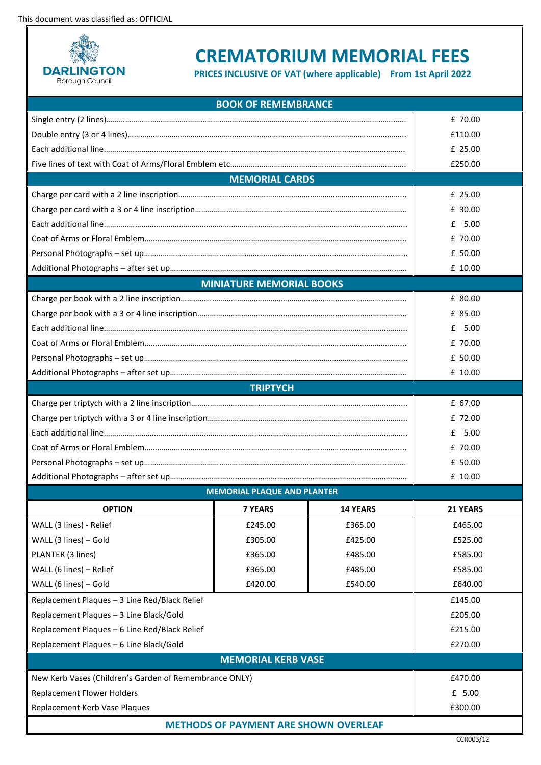This document was classified as: OFFICIAL



## **CREMATORIUM MEMORIAL FEES**

**PRICES INCLUSIVE OF VAT (where applicable) From 1st April 2022** 

| <b>BOOK OF REMEMBRANCE</b>                             |                                    |                 |          |  |  |
|--------------------------------------------------------|------------------------------------|-----------------|----------|--|--|
|                                                        |                                    |                 | £ 70.00  |  |  |
|                                                        |                                    |                 | £110.00  |  |  |
|                                                        |                                    |                 | £ 25.00  |  |  |
|                                                        |                                    |                 | £250.00  |  |  |
|                                                        | <b>MEMORIAL CARDS</b>              |                 |          |  |  |
|                                                        |                                    |                 | £ 25.00  |  |  |
|                                                        |                                    |                 | £ 30.00  |  |  |
|                                                        |                                    | $£$ 5.00        |          |  |  |
|                                                        |                                    | £ 70.00         |          |  |  |
|                                                        |                                    | £ 50.00         |          |  |  |
|                                                        |                                    |                 | £ 10.00  |  |  |
|                                                        | <b>MINIATURE MEMORIAL BOOKS</b>    |                 |          |  |  |
|                                                        |                                    |                 | £ 80.00  |  |  |
|                                                        |                                    |                 | £ 85.00  |  |  |
|                                                        |                                    |                 | $£$ 5.00 |  |  |
|                                                        |                                    |                 | £ 70.00  |  |  |
|                                                        |                                    | £ 50.00         |          |  |  |
|                                                        |                                    |                 | £ 10.00  |  |  |
|                                                        | <b>TRIPTYCH</b>                    |                 |          |  |  |
|                                                        |                                    |                 | £ 67.00  |  |  |
|                                                        |                                    |                 | £ 72.00  |  |  |
|                                                        |                                    |                 | $£$ 5.00 |  |  |
|                                                        |                                    | £ 70.00         |          |  |  |
|                                                        |                                    |                 | £ 50.00  |  |  |
|                                                        |                                    |                 | £ 10.00  |  |  |
|                                                        | <b>MEMORIAL PLAQUE AND PLANTER</b> |                 |          |  |  |
| <b>OPTION</b>                                          | <b>7 YEARS</b>                     | <b>14 YEARS</b> | 21 YEARS |  |  |
| WALL (3 lines) - Relief                                | £245.00                            | £365.00         | £465.00  |  |  |
| WALL (3 lines) - Gold                                  | £305.00                            | £425.00         | £525.00  |  |  |
| PLANTER (3 lines)                                      | £365.00                            | £485.00         | £585.00  |  |  |
| WALL (6 lines) - Relief                                | £365.00                            | £485.00         | £585.00  |  |  |
| WALL (6 lines) - Gold                                  | £420.00                            | £540.00         | £640.00  |  |  |
| Replacement Plaques - 3 Line Red/Black Relief          |                                    |                 | £145.00  |  |  |
| Replacement Plaques - 3 Line Black/Gold                |                                    |                 | £205.00  |  |  |
| Replacement Plaques - 6 Line Red/Black Relief          |                                    |                 | £215.00  |  |  |
| Replacement Plaques - 6 Line Black/Gold                |                                    |                 | £270.00  |  |  |
| <b>MEMORIAL KERB VASE</b>                              |                                    |                 |          |  |  |
| New Kerb Vases (Children's Garden of Remembrance ONLY) |                                    |                 | £470.00  |  |  |
| <b>Replacement Flower Holders</b>                      |                                    | £ 5.00          |          |  |  |
| Replacement Kerb Vase Plaques                          |                                    |                 | £300.00  |  |  |
| <b>METHODS OF PAYMENT ARE SHOWN OVERLEAF</b>           |                                    |                 |          |  |  |
|                                                        |                                    |                 |          |  |  |